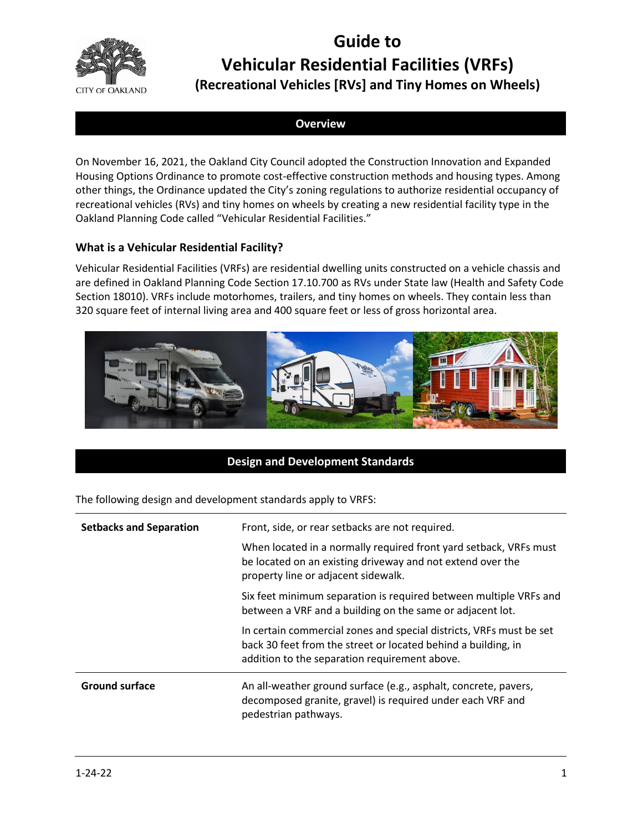

# **Guide to Vehicular Residential Facilities (VRFs)**

# **(Recreational Vehicles [RVs] and Tiny Homes on Wheels)**

# **Overview**

On November 16, 2021, the Oakland City Council adopted the Construction Innovation and Expanded Housing Options Ordinance to promote cost-effective construction methods and housing types. Among other things, the Ordinance updated the City's zoning regulations to authorize residential occupancy of recreational vehicles (RVs) and tiny homes on wheels by creating a new residential facility type in the Oakland Planning Code called "Vehicular Residential Facilities."

# **What is a Vehicular Residential Facility?**

Vehicular Residential Facilities (VRFs) are residential dwelling units constructed on a vehicle chassis and are defined in Oakland Planning Code Section 17.10.700 as RVs under State law (Health and Safety Code Section 18010). VRFs include motorhomes, trailers, and tiny homes on wheels. They contain less than 320 square feet of internal living area and 400 square feet or less of gross horizontal area.



# **Design and Development Standards**

The following design and development standards apply to VRFS:

| <b>Setbacks and Separation</b> | Front, side, or rear setbacks are not required.                                                                                                                                       |
|--------------------------------|---------------------------------------------------------------------------------------------------------------------------------------------------------------------------------------|
|                                | When located in a normally required front yard setback, VRFs must<br>be located on an existing driveway and not extend over the<br>property line or adjacent sidewalk.                |
|                                | Six feet minimum separation is required between multiple VRFs and<br>between a VRF and a building on the same or adjacent lot.                                                        |
|                                | In certain commercial zones and special districts, VRFs must be set<br>back 30 feet from the street or located behind a building, in<br>addition to the separation requirement above. |
| <b>Ground surface</b>          | An all-weather ground surface (e.g., asphalt, concrete, pavers,<br>decomposed granite, gravel) is required under each VRF and<br>pedestrian pathways.                                 |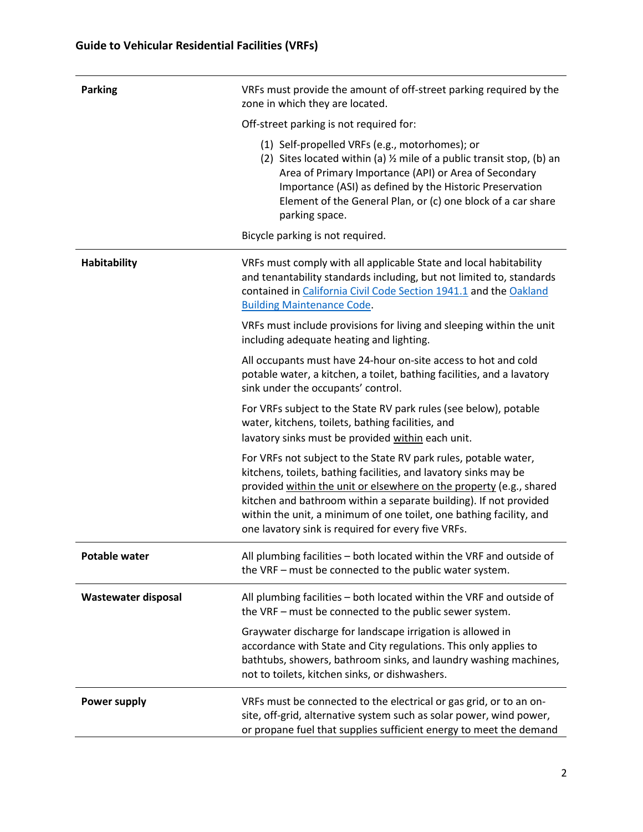| <b>Parking</b>             | VRFs must provide the amount of off-street parking required by the<br>zone in which they are located.                                                                                                                                                                                                                                                                                                        |
|----------------------------|--------------------------------------------------------------------------------------------------------------------------------------------------------------------------------------------------------------------------------------------------------------------------------------------------------------------------------------------------------------------------------------------------------------|
|                            | Off-street parking is not required for:                                                                                                                                                                                                                                                                                                                                                                      |
|                            | (1) Self-propelled VRFs (e.g., motorhomes); or<br>(2) Sites located within (a) 1/2 mile of a public transit stop, (b) an<br>Area of Primary Importance (API) or Area of Secondary<br>Importance (ASI) as defined by the Historic Preservation<br>Element of the General Plan, or (c) one block of a car share<br>parking space.                                                                              |
|                            | Bicycle parking is not required.                                                                                                                                                                                                                                                                                                                                                                             |
| <b>Habitability</b>        | VRFs must comply with all applicable State and local habitability<br>and tenantability standards including, but not limited to, standards<br>contained in California Civil Code Section 1941.1 and the Oakland<br><b>Building Maintenance Code.</b>                                                                                                                                                          |
|                            | VRFs must include provisions for living and sleeping within the unit<br>including adequate heating and lighting.                                                                                                                                                                                                                                                                                             |
|                            | All occupants must have 24-hour on-site access to hot and cold<br>potable water, a kitchen, a toilet, bathing facilities, and a lavatory<br>sink under the occupants' control.                                                                                                                                                                                                                               |
|                            | For VRFs subject to the State RV park rules (see below), potable<br>water, kitchens, toilets, bathing facilities, and<br>lavatory sinks must be provided within each unit.                                                                                                                                                                                                                                   |
|                            | For VRFs not subject to the State RV park rules, potable water,<br>kitchens, toilets, bathing facilities, and lavatory sinks may be<br>provided within the unit or elsewhere on the property (e.g., shared<br>kitchen and bathroom within a separate building). If not provided<br>within the unit, a minimum of one toilet, one bathing facility, and<br>one lavatory sink is required for every five VRFs. |
| <b>Potable water</b>       | All plumbing facilities - both located within the VRF and outside of<br>the VRF - must be connected to the public water system.                                                                                                                                                                                                                                                                              |
| <b>Wastewater disposal</b> | All plumbing facilities - both located within the VRF and outside of<br>the VRF - must be connected to the public sewer system.                                                                                                                                                                                                                                                                              |
|                            | Graywater discharge for landscape irrigation is allowed in<br>accordance with State and City regulations. This only applies to<br>bathtubs, showers, bathroom sinks, and laundry washing machines,<br>not to toilets, kitchen sinks, or dishwashers.                                                                                                                                                         |
| <b>Power supply</b>        | VRFs must be connected to the electrical or gas grid, or to an on-<br>site, off-grid, alternative system such as solar power, wind power,<br>or propane fuel that supplies sufficient energy to meet the demand                                                                                                                                                                                              |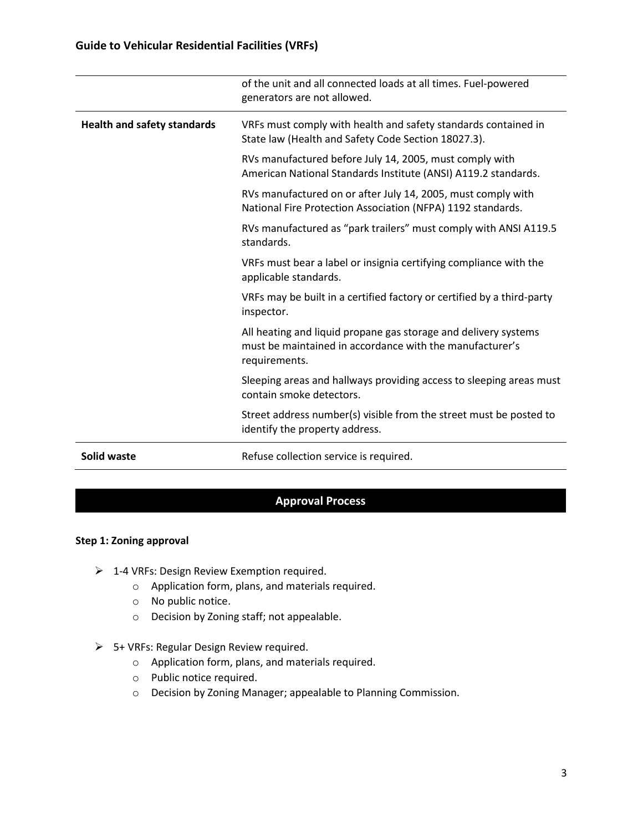|                                    | of the unit and all connected loads at all times. Fuel-powered<br>generators are not allowed.                                                |
|------------------------------------|----------------------------------------------------------------------------------------------------------------------------------------------|
| <b>Health and safety standards</b> | VRFs must comply with health and safety standards contained in<br>State law (Health and Safety Code Section 18027.3).                        |
|                                    | RVs manufactured before July 14, 2005, must comply with<br>American National Standards Institute (ANSI) A119.2 standards.                    |
|                                    | RVs manufactured on or after July 14, 2005, must comply with<br>National Fire Protection Association (NFPA) 1192 standards.                  |
|                                    | RVs manufactured as "park trailers" must comply with ANSI A119.5<br>standards.                                                               |
|                                    | VRFs must bear a label or insignia certifying compliance with the<br>applicable standards.                                                   |
|                                    | VRFs may be built in a certified factory or certified by a third-party<br>inspector.                                                         |
|                                    | All heating and liquid propane gas storage and delivery systems<br>must be maintained in accordance with the manufacturer's<br>requirements. |
|                                    | Sleeping areas and hallways providing access to sleeping areas must<br>contain smoke detectors.                                              |
|                                    | Street address number(s) visible from the street must be posted to<br>identify the property address.                                         |
| Solid waste                        | Refuse collection service is required.                                                                                                       |

# **Approval Process**

#### **Step 1: Zoning approval**

- ➢ 1-4 VRFs: Design Review Exemption required.
	- o Application form, plans, and materials required.
	- o No public notice.
	- o Decision by Zoning staff; not appealable.
- ➢ 5+ VRFs: Regular Design Review required.
	- o Application form, plans, and materials required.
	- o Public notice required.
	- o Decision by Zoning Manager; appealable to Planning Commission.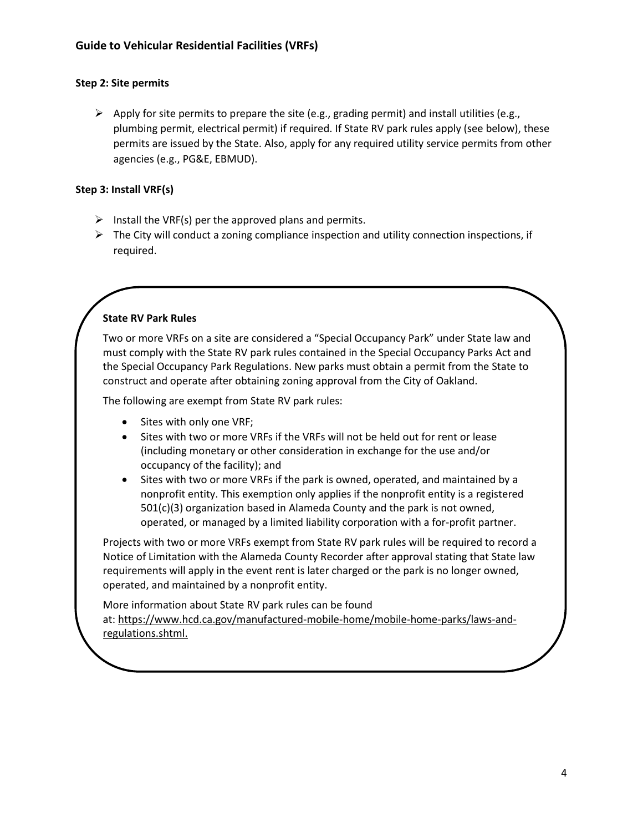#### **Step 2: Site permits**

 $\triangleright$  Apply for site permits to prepare the site (e.g., grading permit) and install utilities (e.g., plumbing permit, electrical permit) if required. If State RV park rules apply (see below), these permits are issued by the State. Also, apply for any required utility service permits from other agencies (e.g., PG&E, EBMUD).

#### **Step 3: Install VRF(s)**

- $\triangleright$  Install the VRF(s) per the approved plans and permits.
- $\triangleright$  The City will conduct a zoning compliance inspection and utility connection inspections, if required.

# **State RV Park Rules**

Two or more VRFs on a site are considered a "Special Occupancy Park" under State law and must comply with the State RV park rules contained in the Special Occupancy Parks Act and the Special Occupancy Park Regulations. New parks must obtain a permit from the State to construct and operate after obtaining zoning approval from the City of Oakland.

The following are exempt from State RV park rules:

- Sites with only one VRF;
- Sites with two or more VRFs if the VRFs will not be held out for rent or lease (including monetary or other consideration in exchange for the use and/or occupancy of the facility); and
- Sites with two or more VRFs if the park is owned, operated, and maintained by a nonprofit entity. This exemption only applies if the nonprofit entity is a registered 501(c)(3) organization based in Alameda County and the park is not owned, operated, or managed by a limited liability corporation with a for-profit partner.

Projects with two or more VRFs exempt from State RV park rules will be required to record a Notice of Limitation with the Alameda County Recorder after approval stating that State law requirements will apply in the event rent is later charged or the park is no longer owned, operated, and maintained by a nonprofit entity.

More information about State RV park rules can be found at: [https://www.hcd.ca.gov/manufactured-mobile-home/mobile-home-parks/laws-and](https://www.hcd.ca.gov/manufactured-mobile-home/mobile-home-parks/laws-and-regulations.shtml)[regulations.shtml.](https://www.hcd.ca.gov/manufactured-mobile-home/mobile-home-parks/laws-and-regulations.shtml)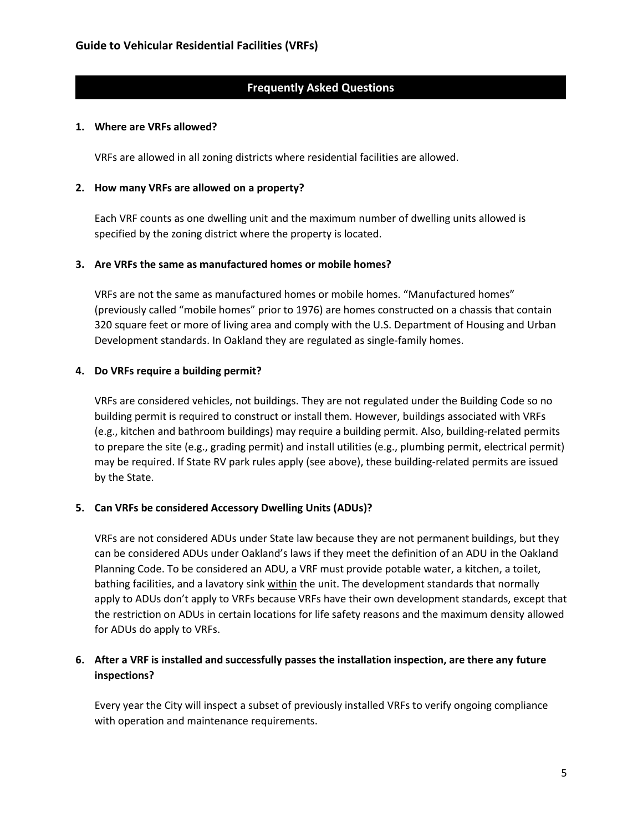# **Frequently Asked Questions**

#### **1. Where are VRFs allowed?**

VRFs are allowed in all zoning districts where residential facilities are allowed.

#### **2. How many VRFs are allowed on a property?**

Each VRF counts as one dwelling unit and the maximum number of dwelling units allowed is specified by the zoning district where the property is located.

#### **3. Are VRFs the same as manufactured homes or mobile homes?**

VRFs are not the same as manufactured homes or mobile homes. "Manufactured homes" (previously called "mobile homes" prior to 1976) are homes constructed on a chassis that contain 320 square feet or more of living area and comply with the U.S. Department of Housing and Urban Development standards. In Oakland they are regulated as single-family homes.

# **4. Do VRFs require a building permit?**

VRFs are considered vehicles, not buildings. They are not regulated under the Building Code so no building permit is required to construct or install them. However, buildings associated with VRFs (e.g., kitchen and bathroom buildings) may require a building permit. Also, building-related permits to prepare the site (e.g., grading permit) and install utilities (e.g., plumbing permit, electrical permit) may be required. If State RV park rules apply (see above), these building-related permits are issued by the State.

# **5. Can VRFs be considered Accessory Dwelling Units (ADUs)?**

VRFs are not considered ADUs under State law because they are not permanent buildings, but they can be considered ADUs under Oakland's laws if they meet the definition of an ADU in the Oakland Planning Code. To be considered an ADU, a VRF must provide potable water, a kitchen, a toilet, bathing facilities, and a lavatory sink within the unit. The development standards that normally apply to ADUs don't apply to VRFs because VRFs have their own development standards, except that the restriction on ADUs in certain locations for life safety reasons and the maximum density allowed for ADUs do apply to VRFs.

# **6. After a VRF is installed and successfully passes the installation inspection, are there any future inspections?**

Every year the City will inspect a subset of previously installed VRFs to verify ongoing compliance with operation and maintenance requirements.